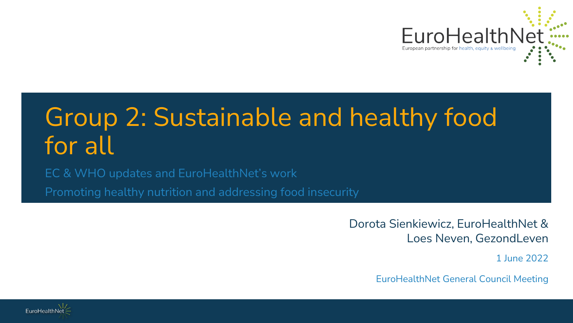

# Group 2: Sustainable and healthy food for all

EC & WHO updates and EuroHealthNet's work

Promoting healthy nutrition and addressing food insecurity

Dorota Sienkiewicz, EuroHealthNet & Loes Neven, GezondLeven

1 June 2022

EuroHealthNet General Council Meeting

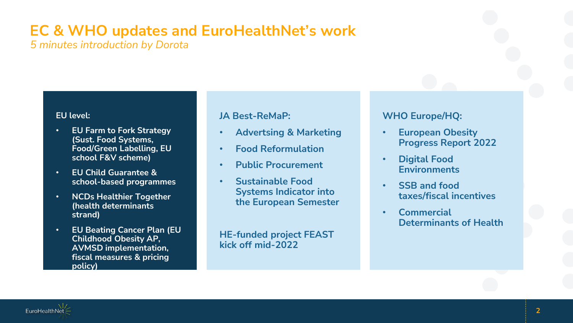### **EC & WHO updates and EuroHealthNet's work**

*5 minutes introduction by Dorota*

#### **EU level:**

- **EU Farm to Fork Strategy (Sust. Food Systems, Food/Green Labelling, EU school F&V scheme)**
- **EU Child Guarantee & school-based programmes**
- **NCDs Healthier Together (health determinants strand)**
- **EU Beating Cancer Plan (EU Childhood Obesity AP, AVMSD implementation, fiscal measures & pricing policy)**

#### **JA Best-ReMaP:**

- **Advertsing & Marketing**
- **Food Reformulation**
- **Public Procurement**
- **Sustainable Food Systems Indicator into the European Semester**

**HE-funded project FEAST kick off mid-2022**

#### **WHO Europe/HQ:**

- **European Obesity Progress Report 2022**
- **Digital Food Environments**
- **SSB and food taxes/fiscal incentives**
- **Commercial Determinants of Health**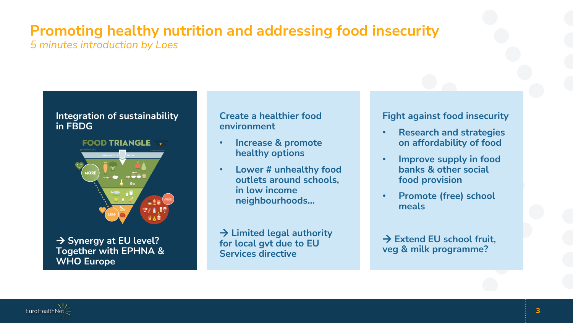### **Promoting healthy nutrition and addressing food insecurity**

*5 minutes introduction by Loes*

#### **Integration of sustainability in FBDG**

**FOOD TRIANGLE TRI** 



**→ Synergy at EU level? Together with EPHNA & WHO Europe**

#### **Create a healthier food environment**

- **Increase & promote healthy options**
- **Lower # unhealthy food outlets around schools, in low income neighbourhoods…**

 $→$  **Limited legal authority for local gvt due to EU Services directive** 

#### **Fight against food insecurity**

- **Research and strategies on affordability of food**
- **Improve supply in food banks & other social food provision**
- **Promote (free) school meals**

 $→$  **Extend EU school fruit. veg & milk programme?**

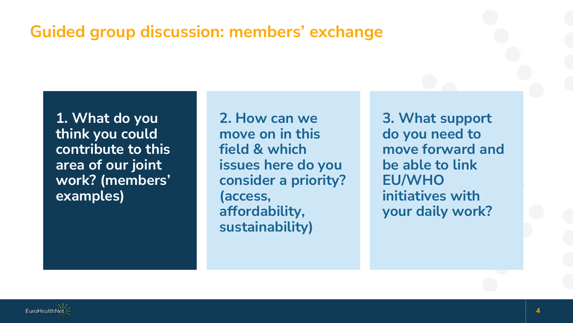### **Guided group discussion: members' exchange**

**1. What do you think you could contribute to this area of our joint work? (members' examples)**

**2. How can we move on in this field & which issues here do you consider a priority? (access, affordability, sustainability)**

**3. What support do you need to move forward and be able to link EU/WHO initiatives with your daily work?**